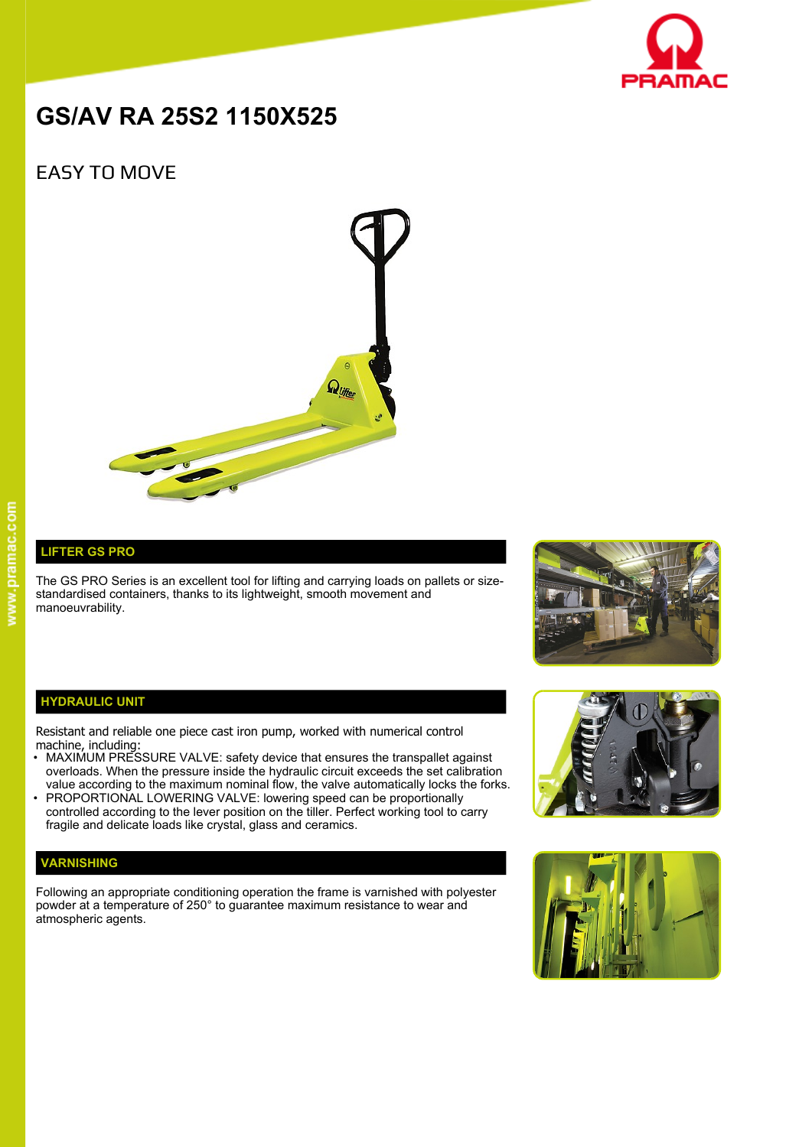

# **GS/AV RA 25S2 1150X525**

# EASY TO MOVE



## **LIFTER GS PRO**

The GS PRO Series is an excellent tool for lifting and carrying loads on pallets or sizestandardised containers, thanks to its lightweight, smooth movement and manoeuvrability.



#### **HYDRAULIC UNIT**

Resistant and reliable one piece cast iron pump, worked with numerical control machine, including:

- MAXIMUM PRESSURE VALVE: safety device that ensures the transpallet against overloads. When the pressure inside the hydraulic circuit exceeds the set calibration value according to the maximum nominal flow, the valve automatically locks the forks.
- PROPORTIONAL LOWERING VALVE: lowering speed can be proportionally controlled according to the lever position on the tiller. Perfect working tool to carry fragile and delicate loads like crystal, glass and ceramics.

### **VARNISHING**

Following an appropriate conditioning operation the frame is varnished with polyester powder at a temperature of 250° to guarantee maximum resistance to wear and atmospheric agents.



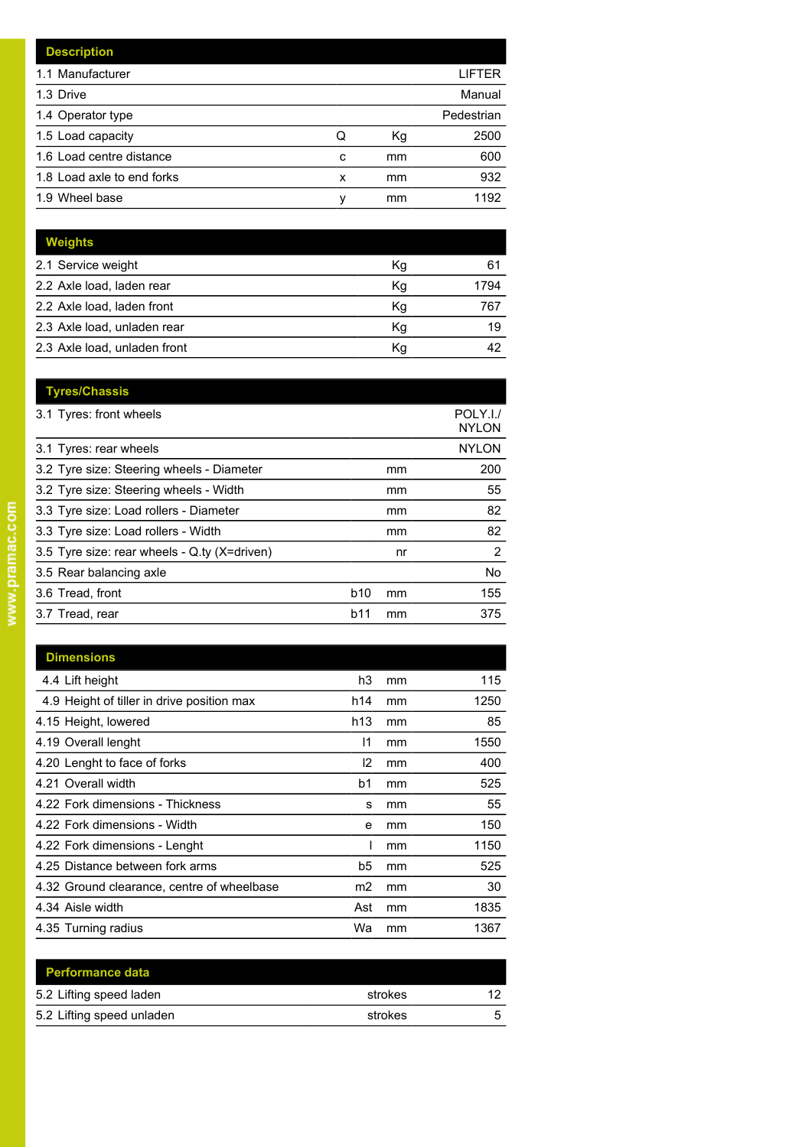|   |    | LIFTER     |
|---|----|------------|
|   |    | Manual     |
|   |    | Pedestrian |
| Q | Кg | 2500       |
| c | mm | 600        |
| x | mm | 932        |
| ν | mm | 1192       |
|   |    |            |

| <b>Weights</b>               |    |      |
|------------------------------|----|------|
| 2.1 Service weight           | Кg | 61   |
| 2.2 Axle load, laden rear    | Kg | 1794 |
| 2.2 Axle load, laden front   | Kg | 767  |
| 2.3 Axle load, unladen rear  | Κq | 19   |
| 2.3 Axle load, unladen front | Κq |      |

| <b>Tyres/Chassis</b>                         |            |    |                          |
|----------------------------------------------|------------|----|--------------------------|
| 3.1 Tyres: front wheels                      |            |    | POLY.I./<br><b>NYLON</b> |
| 3.1 Tyres: rear wheels                       |            |    | <b>NYLON</b>             |
| 3.2 Tyre size: Steering wheels - Diameter    |            | mm | 200                      |
| 3.2 Tyre size: Steering wheels - Width       |            | mm | 55                       |
| 3.3 Tyre size: Load rollers - Diameter       |            | mm | 82                       |
| 3.3 Tyre size: Load rollers - Width          |            | mm | 82                       |
| 3.5 Tyre size: rear wheels - Q ty (X=driven) |            | nr | 2                        |
| 3.5 Rear balancing axle                      |            |    | <b>No</b>                |
| 3.6 Tread, front                             | <b>b10</b> | mm | 155                      |
| 3.7 Tread, rear                              | b11        | mm | 375                      |

| <b>Dimensions</b>                          |                 |    |      |
|--------------------------------------------|-----------------|----|------|
| 4.4 Lift height                            | h3              | mm | 115  |
| 4.9 Height of tiller in drive position max | h14             | mm | 1250 |
| 4.15 Height, lowered                       | h <sub>13</sub> | mm | 85   |
| 4.19 Overall lenght                        | 11              | mm | 1550 |
| 4.20 Lenght to face of forks               | l2              | mm | 400  |
| 4.21 Overall width                         | b1              | mm | 525  |
| 4.22 Fork dimensions - Thickness           | s               | mm | 55   |
| 4.22 Fork dimensions - Width               | e               | mm | 150  |
| 4.22 Fork dimensions - Lenght              |                 | mm | 1150 |
| 4.25 Distance between fork arms            | b5              | mm | 525  |
| 4.32 Ground clearance, centre of wheelbase | m2              | mm | 30   |
| 4.34 Aisle width                           | Ast             | mm | 1835 |
| 4.35 Turning radius                        | Wa              | mm | 1367 |

| <b>Performance data</b>   |         |    |
|---------------------------|---------|----|
| 5.2 Lifting speed laden   | strokes | 12 |
| 5.2 Lifting speed unladen | strokes |    |
|                           |         |    |